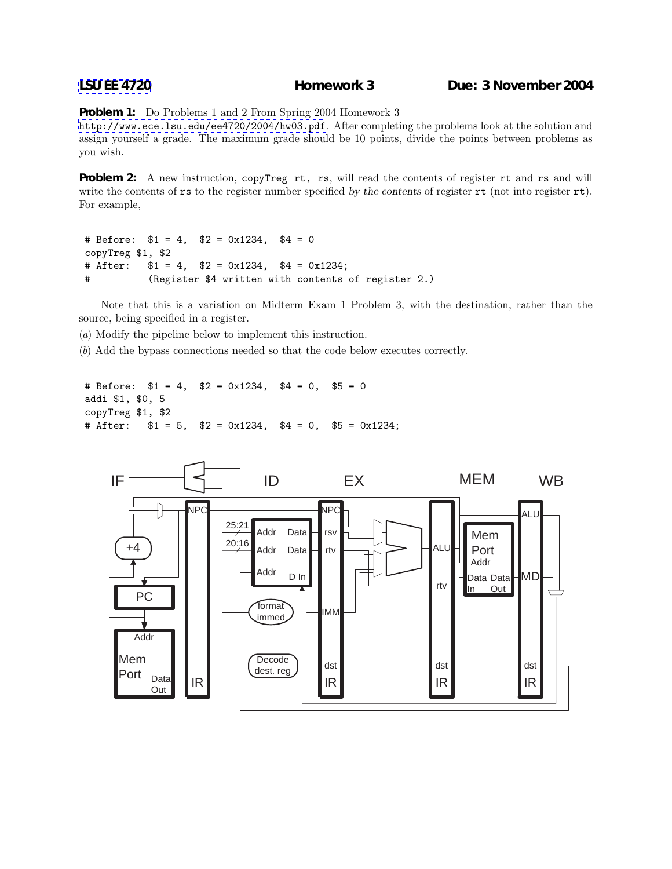## **[LSU EE 4720](http://www.ece.lsu.edu/ee4720/) Homework 3 Due: 3 November 2004**

**Problem 1:** Do Problems 1 and 2 From Spring 2004 Homework 3

<http://www.ece.lsu.edu/ee4720/2004/hw03.pdf>. After completing the problems look at the solution and assign yourself a grade. The maximum grade should be 10 points, divide the points between problems as you wish.

**Problem 2:** A new instruction, copyTreg rt, rs, will read the contents of register rt and rs and will write the contents of rs to the register number specified by the contents of register rt (not into register rt). For example,

```
# Before: $1 = 4, $2 = 0x1234, $4 = 0
copyTreg $1, $2
# After: $1 = 4, $2 = 0x1234, $4 = 0x1234;
# (Register $4 written with contents of register 2.)
```
Note that this is a variation on Midterm Exam 1 Problem 3, with the destination, rather than the source, being specified in a register.

(a) Modify the pipeline below to implement this instruction.

(b) Add the bypass connections needed so that the code below executes correctly.

```
# Before: $1 = 4, $2 = 0x1234, $4 = 0, $5 = 0addi $1, $0, 5
copyTreg $1, $2
# After: $1 = 5, $2 = 0x1234, $4 = 0, $5 = 0x1234;
```